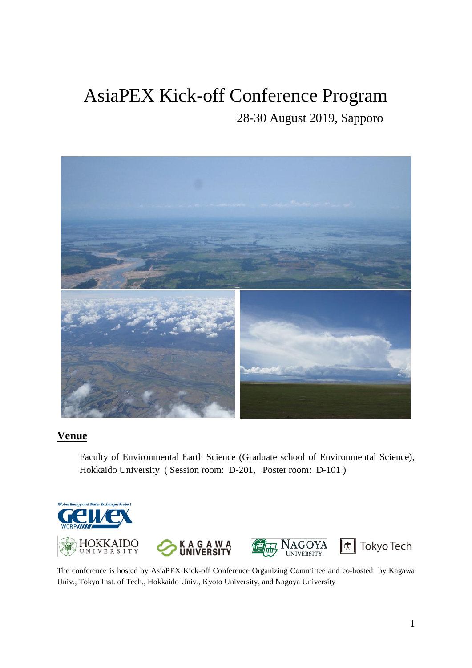# AsiaPEX Kick-off Conference Program

28-30 August 2019, Sapporo



# **Venue**

Faculty of Environmental Earth Science (Graduate school of Environmental Science), Hokkaido University ( Session room: D-201, Poster room: D-101 )



The conference is hosted by AsiaPEX Kick-off Conference Organizing Committee and co-hosted by Kagawa Univ., Tokyo Inst. of Tech., Hokkaido Univ., Kyoto University, and Nagoya University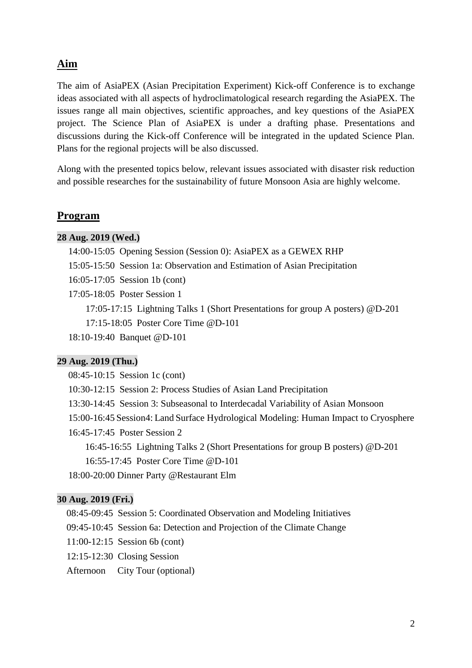### **Aim**

The aim of AsiaPEX (Asian Precipitation Experiment) Kick-off Conference is to exchange ideas associated with all aspects of hydroclimatological research regarding the AsiaPEX. The issues range all main objectives, scientific approaches, and key questions of the AsiaPEX project. The Science Plan of AsiaPEX is under a drafting phase. Presentations and discussions during the Kick-off Conference will be integrated in the updated Science Plan. Plans for the regional projects will be also discussed.

Along with the presented topics below, relevant issues associated with disaster risk reduction and possible researches for the sustainability of future Monsoon Asia are highly welcome.

#### **Program**

#### **28 Aug. 2019 (Wed.)**

- 14:00-15:05 Opening Session (Session 0): AsiaPEX as a GEWEX RHP
- 15:05-15:50 Session 1a: Observation and Estimation of Asian Precipitation
- 16:05-17:05 Session 1b (cont)
- 17:05-18:05 Poster Session 1

17:05-17:15 Lightning Talks 1 (Short Presentations for group A posters) @D-201 17:15-18:05 Poster Core Time @D-101

18:10-19:40 Banquet @D-101

#### **29 Aug. 2019 (Thu.)**

08:45-10:15 Session 1c (cont)

10:30-12:15 Session 2: Process Studies of Asian Land Precipitation

- 13:30-14:45 Session 3: Subseasonal to Interdecadal Variability of Asian Monsoon
- 15:00-16:45 Session4: Land Surface Hydrological Modeling: Human Impact to Cryosphere
- 16:45-17:45 Poster Session 2
	- 16:45-16:55 Lightning Talks 2 (Short Presentations for group B posters) @D-201 16:55-17:45 Poster Core Time @D-101

18:00-20:00 Dinner Party @Restaurant Elm

#### **30 Aug. 2019 (Fri.)**

- 08:45-09:45 Session 5: Coordinated Observation and Modeling Initiatives
- 09:45-10:45 Session 6a: Detection and Projection of the Climate Change
- 11:00-12:15 Session 6b (cont)
- 12:15-12:30 Closing Session

Afternoon City Tour (optional)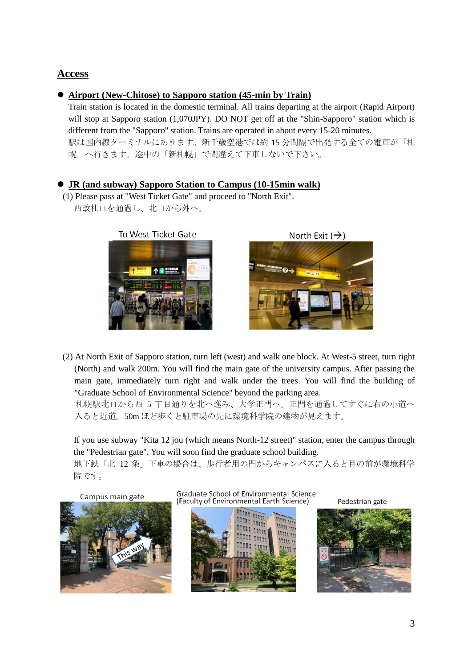### **Access**

### ⚫ **Airport (New-Chitose) to Sapporo station (45-min by Train)**

Train station is located in the domestic terminal. All trains departing at the airport (Rapid Airport) will stop at Sapporo station (1,070JPY). DO NOT get off at the "Shin-Sapporo" station which is different from the "Sapporo" station. Trains are operated in about every 15-20 minutes. 駅は国内線ターミナルにあります。新千歳空港では約 15 分間隔で出発する全ての電車が「札 幌」へ行きます。途中の「新札幌」で間違えて下車しないで下さい。

### ⚫ **JR (and subway) Sapporo Station to Campus (10-15min walk)**

(1) Please pass at "West Ticket Gate" and proceed to "North Exit". 西改札口を通過し、北口から外へ。



North Exit  $(\rightarrow)$ 



(2) At North Exit of Sapporo station, turn left (west) and walk one block. At West-5 street, turn right (North) and walk 200m. You will find the main gate of the university campus. After passing the main gate, immediately turn right and walk under the trees. You will find the building of "Graduate School of Environmental Science" beyond the parking area.

 札幌駅北口から西 5 丁目通りを北へ進み、大学正門へ。正門を通過してすぐに右の小道へ 入ると近道。50m ほど歩くと駐車場の先に環境科学院の建物が見えます。

If you use subway "Kita 12 jou (which means North-12 street)" station, enter the campus through the "Pedestrian gate". You will soon find the graduate school building.

地下鉄「北 12 条」下車の場合は、歩行者用の門からキャンパスに入ると目の前が環境科学 院です。

Campus main gate



Graduate School of Environmental Science (Faculty of Environmental Earth Science)



Pedestrian gate

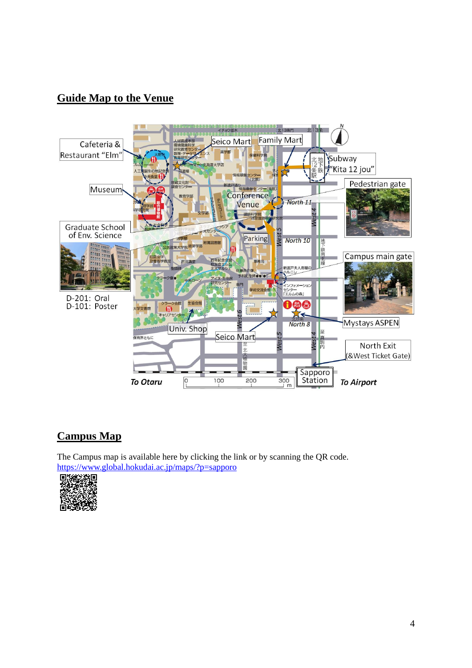# **Guide Map to the Venue**



### **Campus Map**

The Campus map is available here by clicking the link or by scanning the QR code. <https://www.global.hokudai.ac.jp/maps/?p=sapporo>

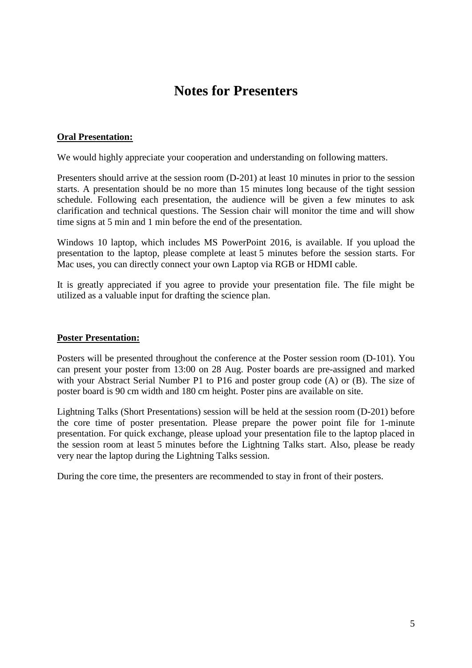# **Notes for Presenters**

#### **Oral Presentation:**

We would highly appreciate your cooperation and understanding on following matters.

Presenters should arrive at the session room (D-201) at least 10 minutes in prior to the session starts. A presentation should be no more than 15 minutes long because of the tight session schedule. Following each presentation, the audience will be given a few minutes to ask clarification and technical questions. The Session chair will monitor the time and will show time signs at 5 min and 1 min before the end of the presentation.

Windows 10 laptop, which includes MS PowerPoint 2016, is available. If you upload the presentation to the laptop, please complete at least 5 minutes before the session starts. For Mac uses, you can directly connect your own Laptop via RGB or HDMI cable.

It is greatly appreciated if you agree to provide your presentation file. The file might be utilized as a valuable input for drafting the science plan.

#### **Poster Presentation:**

Posters will be presented throughout the conference at the Poster session room (D-101). You can present your poster from 13:00 on 28 Aug. Poster boards are pre-assigned and marked with your Abstract Serial Number P1 to P16 and poster group code (A) or (B). The size of poster board is 90 cm width and 180 cm height. Poster pins are available on site.

Lightning Talks (Short Presentations) session will be held at the session room (D-201) before the core time of poster presentation. Please prepare the power point file for 1-minute presentation. For quick exchange, please upload your presentation file to the laptop placed in the session room at least 5 minutes before the Lightning Talks start. Also, please be ready very near the laptop during the Lightning Talks session.

During the core time, the presenters are recommended to stay in front of their posters.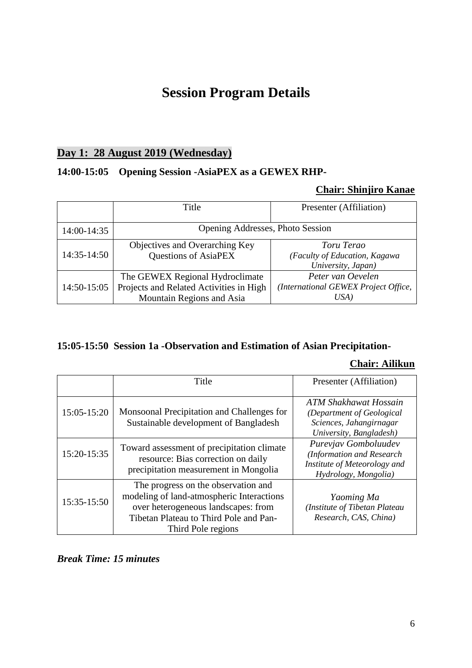# **Session Program Details**

### **Day 1: 28 August 2019 (Wednesday)**

### **14:00-15:05 Opening Session -AsiaPEX as a GEWEX RHP-**

### **Chair: Shinjiro Kanae**

|               | Title                                                                                                   | Presenter (Affiliation)                                           |
|---------------|---------------------------------------------------------------------------------------------------------|-------------------------------------------------------------------|
| 14:00-14:35   | Opening Addresses, Photo Session                                                                        |                                                                   |
| $14:35-14:50$ | Objectives and Overarching Key<br><b>Questions of AsiaPEX</b>                                           | Toru Terao<br>(Faculty of Education, Kagawa<br>University, Japan) |
| 14:50-15:05   | The GEWEX Regional Hydroclimate<br>Projects and Related Activities in High<br>Mountain Regions and Asia | Peter van Oevelen<br>(International GEWEX Project Office,<br>USA) |

# **15:05-15:50 Session 1a -Observation and Estimation of Asian Precipitation-**

# **Chair: Ailikun**

|             | Title                                                                                                                                                                                   | Presenter (Affiliation)                                                                                   |
|-------------|-----------------------------------------------------------------------------------------------------------------------------------------------------------------------------------------|-----------------------------------------------------------------------------------------------------------|
| 15:05-15:20 | Monsoonal Precipitation and Challenges for<br>Sustainable development of Bangladesh                                                                                                     | ATM Shakhawat Hossain<br>(Department of Geological<br>Sciences, Jahangirnagar<br>University, Bangladesh)  |
| 15:20-15:35 | Toward assessment of precipitation climate<br>resource: Bias correction on daily<br>precipitation measurement in Mongolia                                                               | Purevjav Gomboluudev<br>(Information and Research<br>Institute of Meteorology and<br>Hydrology, Mongolia) |
| 15:35-15:50 | The progress on the observation and<br>modeling of land-atmospheric Interactions<br>over heterogeneous landscapes: from<br>Tibetan Plateau to Third Pole and Pan-<br>Third Pole regions | Yaoming Ma<br>(Institute of Tibetan Plateau<br>Research, CAS, China)                                      |

*Break Time: 15 minutes*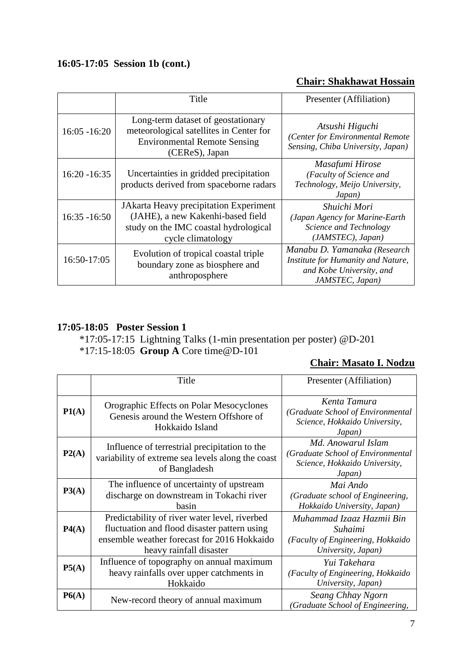# **16:05-17:05 Session 1b (cont.)**

### **Chair: Shakhawat Hossain**

|                 | Title                                                                                                                                     | Presenter (Affiliation)                                                                                           |
|-----------------|-------------------------------------------------------------------------------------------------------------------------------------------|-------------------------------------------------------------------------------------------------------------------|
| $16:05 - 16:20$ | Long-term dataset of geostationary<br>meteorological satellites in Center for<br><b>Environmental Remote Sensing</b><br>(CEReS), Japan    | Atsushi Higuchi<br>(Center for Environmental Remote<br>Sensing, Chiba University, Japan)                          |
| $16:20 - 16:35$ | Uncertainties in gridded precipitation<br>products derived from spaceborne radars                                                         | Masafumi Hirose<br>(Faculty of Science and<br>Technology, Meijo University,<br>Japan)                             |
| $16:35 - 16:50$ | JAkarta Heavy precipitation Experiment<br>(JAHE), a new Kakenhi-based field<br>study on the IMC coastal hydrological<br>cycle climatology | Shuichi Mori<br>(Japan Agency for Marine-Earth<br>Science and Technology<br>(JAMSTEC), Japan)                     |
| 16:50-17:05     | Evolution of tropical coastal triple<br>boundary zone as biosphere and<br>anthroposphere                                                  | Manabu D. Yamanaka (Research<br>Institute for Humanity and Nature,<br>and Kobe University, and<br>JAMSTEC, Japan) |

### **17:05-18:05 Poster Session 1**

\*17:05-17:15 Lightning Talks (1-min presentation per poster) @D-201 \*17:15-18:05 **Group A** Core time@D-101

# **Chair: Masato I. Nodzu**

|       | Title                                                                                                                                                                   | Presenter (Affiliation)                                                                            |
|-------|-------------------------------------------------------------------------------------------------------------------------------------------------------------------------|----------------------------------------------------------------------------------------------------|
| P1(A) | Orographic Effects on Polar Mesocyclones<br>Genesis around the Western Offshore of<br>Hokkaido Island                                                                   | Kenta Tamura<br>(Graduate School of Environmental<br>Science, Hokkaido University,<br>Japan)       |
| P2(A) | Influence of terrestrial precipitation to the<br>variability of extreme sea levels along the coast<br>of Bangladesh                                                     | Md. Anowarul Islam<br>(Graduate School of Environmental<br>Science, Hokkaido University,<br>Japan) |
| P3(A) | The influence of uncertainty of upstream<br>discharge on downstream in Tokachi river<br>basin                                                                           | Mai Ando<br>(Graduate school of Engineering,<br>Hokkaido University, Japan)                        |
| P4(A) | Predictability of river water level, riverbed<br>fluctuation and flood disaster pattern using<br>ensemble weather forecast for 2016 Hokkaido<br>heavy rainfall disaster | Muhammad Izaaz Hazmii Bin<br>Suhaimi<br>(Faculty of Engineering, Hokkaido<br>University, Japan)    |
| P5(A) | Influence of topography on annual maximum<br>heavy rainfalls over upper catchments in<br>Hokkaido                                                                       | Yui Takehara<br>(Faculty of Engineering, Hokkaido<br>University, Japan)                            |
| P6(A) | New-record theory of annual maximum                                                                                                                                     | Seang Chhay Ngorn<br>(Graduate School of Engineering,                                              |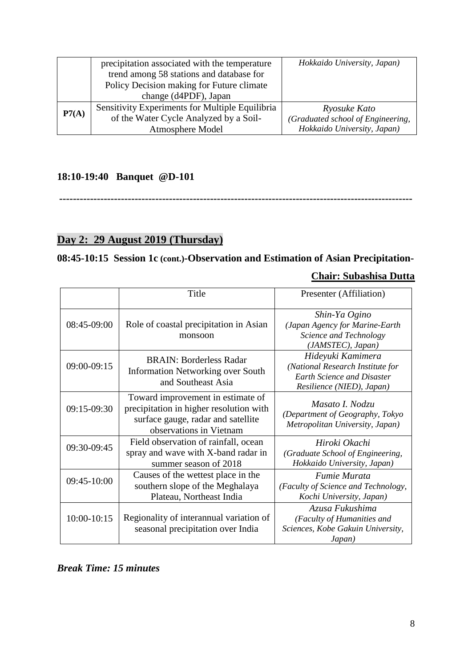|       | precipitation associated with the temperature<br>trend among 58 stations and database for | Hokkaido University, Japan)                       |
|-------|-------------------------------------------------------------------------------------------|---------------------------------------------------|
|       | Policy Decision making for Future climate<br>change (d4PDF), Japan                        |                                                   |
| P7(A) | Sensitivity Experiments for Multiple Equilibria<br>of the Water Cycle Analyzed by a Soil- | Ryosuke Kato<br>(Graduated school of Engineering, |
|       | <b>Atmosphere Model</b>                                                                   | Hokkaido University, Japan)                       |

### **18:10-19:40 Banquet @D-101**

**-------------------------------------------------------------------------------------------------------**

# **Day 2: 29 August 2019 (Thursday)**

# **08:45-10:15 Session 1c (cont.)-Observation and Estimation of Asian Precipitation-**

### **Chair: Subashisa Dutta**

|             | Title                                                                                                                                         | Presenter (Affiliation)                                                                                                 |
|-------------|-----------------------------------------------------------------------------------------------------------------------------------------------|-------------------------------------------------------------------------------------------------------------------------|
| 08:45-09:00 | Role of coastal precipitation in Asian<br>monsoon                                                                                             | Shin-Ya Ogino<br>(Japan Agency for Marine-Earth<br>Science and Technology<br>(JAMSTEC), Japan)                          |
| 09:00-09:15 | <b>BRAIN: Borderless Radar</b><br><b>Information Networking over South</b><br>and Southeast Asia                                              | Hideyuki Kamimera<br>(National Research Institute for<br><b>Earth Science and Disaster</b><br>Resilience (NIED), Japan) |
| 09:15-09:30 | Toward improvement in estimate of<br>precipitation in higher resolution with<br>surface gauge, radar and satellite<br>observations in Vietnam | Masato I. Nodzu<br>(Department of Geography, Tokyo<br>Metropolitan University, Japan)                                   |
| 09:30-09:45 | Field observation of rainfall, ocean<br>spray and wave with X-band radar in<br>summer season of 2018                                          | Hiroki Okachi<br>(Graduate School of Engineering,<br>Hokkaido University, Japan)                                        |
| 09:45-10:00 | Causes of the wettest place in the<br>southern slope of the Meghalaya<br>Plateau, Northeast India                                             | <i>Fumie Murata</i><br>(Faculty of Science and Technology,<br>Kochi University, Japan)                                  |
| 10:00-10:15 | Regionality of interannual variation of<br>seasonal precipitation over India                                                                  | Azusa Fukushima<br>(Faculty of Humanities and<br>Sciences, Kobe Gakuin University,<br>Japan)                            |

*Break Time: 15 minutes*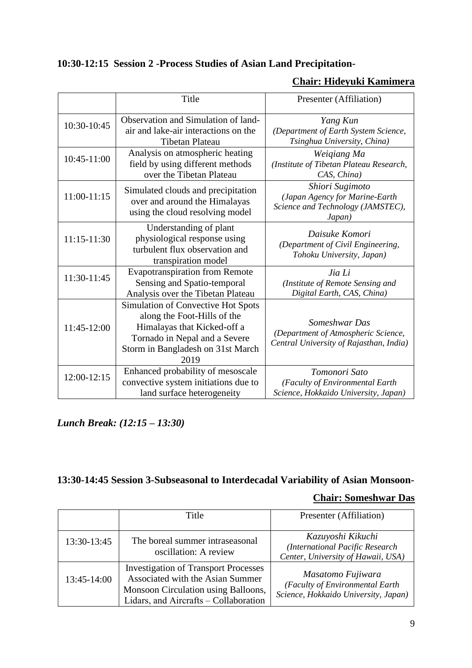# **10:30-12:15 Session 2 -Process Studies of Asian Land Precipitation-**

### **Chair: Hideyuki Kamimera**

|               | Title                                                                                                                                                                          | Presenter (Affiliation)                                                                          |
|---------------|--------------------------------------------------------------------------------------------------------------------------------------------------------------------------------|--------------------------------------------------------------------------------------------------|
| 10:30-10:45   | Observation and Simulation of land-<br>air and lake-air interactions on the<br><b>Tibetan Plateau</b>                                                                          | Yang Kun<br>(Department of Earth System Science,<br>Tsinghua University, China)                  |
| 10:45-11:00   | Analysis on atmospheric heating<br>field by using different methods<br>over the Tibetan Plateau                                                                                | Weigiang Ma<br>(Institute of Tibetan Plateau Research,<br>CAS, China)                            |
| $11:00-11:15$ | Simulated clouds and precipitation<br>over and around the Himalayas<br>using the cloud resolving model                                                                         | Shiori Sugimoto<br>(Japan Agency for Marine-Earth<br>Science and Technology (JAMSTEC),<br>Japan) |
| $11:15-11:30$ | Understanding of plant<br>physiological response using<br>turbulent flux observation and<br>transpiration model                                                                | Daisuke Komori<br>(Department of Civil Engineering,<br>Tohoku University, Japan)                 |
| 11:30-11:45   | <b>Evapotranspiration from Remote</b><br>Sensing and Spatio-temporal<br>Analysis over the Tibetan Plateau                                                                      | Jia Li<br>(Institute of Remote Sensing and<br>Digital Earth, CAS, China)                         |
| 11:45-12:00   | Simulation of Convective Hot Spots<br>along the Foot-Hills of the<br>Himalayas that Kicked-off a<br>Tornado in Nepal and a Severe<br>Storm in Bangladesh on 31st March<br>2019 | Someshwar Das<br>(Department of Atmospheric Science,<br>Central University of Rajasthan, India)  |
| 12:00-12:15   | Enhanced probability of mesoscale<br>convective system initiations due to<br>land surface heterogeneity                                                                        | Tomonori Sato<br>(Faculty of Environmental Earth<br>Science, Hokkaido University, Japan)         |

*Lunch Break: (12:15 – 13:30)*

# **13:30-14:45 Session 3-Subseasonal to Interdecadal Variability of Asian Monsoon-**

### **Chair: Someshwar Das**

|             | Title                                                                                                                                                           | Presenter (Affiliation)                                                                      |
|-------------|-----------------------------------------------------------------------------------------------------------------------------------------------------------------|----------------------------------------------------------------------------------------------|
| 13:30-13:45 | The boreal summer intraseasonal<br>oscillation: A review                                                                                                        | Kazuyoshi Kikuchi<br>(International Pacific Research<br>Center, University of Hawaii, USA)   |
| 13:45-14:00 | <b>Investigation of Transport Processes</b><br>Associated with the Asian Summer<br>Monsoon Circulation using Balloons,<br>Lidars, and Aircrafts - Collaboration | Masatomo Fujiwara<br>(Faculty of Environmental Earth<br>Science, Hokkaido University, Japan) |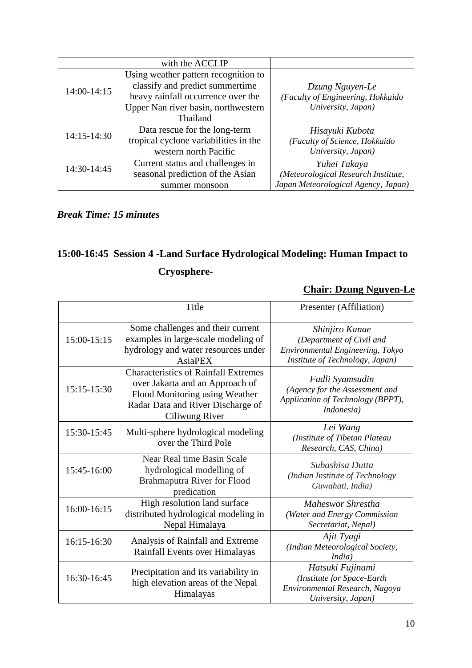|             | with the ACCLIP                       |                                     |
|-------------|---------------------------------------|-------------------------------------|
|             | Using weather pattern recognition to  |                                     |
| 14:00-14:15 | classify and predict summertime       | Dzung Nguyen-Le                     |
|             | heavy rainfall occurrence over the    | (Faculty of Engineering, Hokkaido   |
|             | Upper Nan river basin, northwestern   | University, Japan)                  |
|             | Thailand                              |                                     |
| 14:15-14:30 | Data rescue for the long-term         | Hisayuki Kubota                     |
|             | tropical cyclone variabilities in the | (Faculty of Science, Hokkaido       |
|             | western north Pacific                 | University, Japan)                  |
| 14:30-14:45 | Current status and challenges in      | Yuhei Takaya                        |
|             | seasonal prediction of the Asian      | (Meteorological Research Institute, |
|             | summer monsoon                        | Japan Meteorological Agency, Japan) |

### *Break Time: 15 minutes*

# **15:00-16:45 Session 4 -Land Surface Hydrological Modeling: Human Impact to Cryosphere-**

### **Chair: Dzung Nguyen-Le**

|               | Title                                                                                                                                                                   | Presenter (Affiliation)                                                                                           |
|---------------|-------------------------------------------------------------------------------------------------------------------------------------------------------------------------|-------------------------------------------------------------------------------------------------------------------|
| 15:00-15:15   | Some challenges and their current<br>examples in large-scale modeling of<br>hydrology and water resources under<br>AsiaPEX                                              | Shinjiro Kanae<br>(Department of Civil and<br>Environmental Engineering, Tokyo<br>Institute of Technology, Japan) |
| $15:15-15:30$ | <b>Characteristics of Rainfall Extremes</b><br>over Jakarta and an Approach of<br>Flood Monitoring using Weather<br>Radar Data and River Discharge of<br>Ciliwung River | Fadli Syamsudin<br>(Agency for the Assessment and<br>Application of Technology (BPPT),<br>Indonesia)              |
| 15:30-15:45   | Multi-sphere hydrological modeling<br>over the Third Pole                                                                                                               | Lei Wang<br>(Institute of Tibetan Plateau<br>Research, CAS, China)                                                |
| 15:45-16:00   | Near Real time Basin Scale<br>hydrological modelling of<br><b>Brahmaputra River for Flood</b><br>predication                                                            | Subashisa Dutta<br>(Indian Institute of Technology<br>Guwahati, India)                                            |
| 16:00-16:15   | High resolution land surface<br>distributed hydrological modeling in<br>Nepal Himalaya                                                                                  | Maheswor Shrestha<br>(Water and Energy Commission<br>Secretariat, Nepal)                                          |
| 16:15-16:30   | Analysis of Rainfall and Extreme<br>Rainfall Events over Himalayas                                                                                                      | Ajit Tyagi<br>(Indian Meteorological Society,<br>India)                                                           |
| 16:30-16:45   | Precipitation and its variability in<br>high elevation areas of the Nepal<br>Himalayas                                                                                  | Hatsuki Fujinami<br>(Institute for Space-Earth<br>Environmental Research, Nagoya<br>University, Japan)            |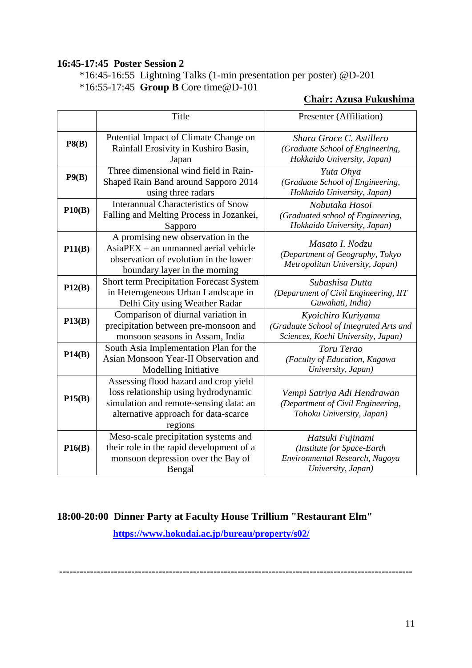### **16:45-17:45 Poster Session 2**

\*16:45-16:55 Lightning Talks (1-min presentation per poster) @D-201 \*16:55-17:45 **Group B** Core time@D-101

### **Chair: Azusa Fukushima**

|        | Title                                                                                                                                                                      | Presenter (Affiliation)                                                                                |
|--------|----------------------------------------------------------------------------------------------------------------------------------------------------------------------------|--------------------------------------------------------------------------------------------------------|
| P8(B)  | Potential Impact of Climate Change on<br>Rainfall Erosivity in Kushiro Basin,<br>Japan                                                                                     | Shara Grace C. Astillero<br>(Graduate School of Engineering,<br>Hokkaido University, Japan)            |
| P9(B)  | Three dimensional wind field in Rain-<br>Shaped Rain Band around Sapporo 2014<br>using three radars                                                                        | Yuta Ohya<br>(Graduate School of Engineering,<br>Hokkaido University, Japan)                           |
| P10(B) | <b>Interannual Characteristics of Snow</b><br>Falling and Melting Process in Jozankei,<br>Sapporo                                                                          | Nobutaka Hosoi<br>(Graduated school of Engineering,<br>Hokkaido University, Japan)                     |
| P11(B) | A promising new observation in the<br>AsiaPEX - an unmanned aerial vehicle<br>observation of evolution in the lower<br>boundary layer in the morning                       | Masato I. Nodzu<br>(Department of Geography, Tokyo<br>Metropolitan University, Japan)                  |
| P12(B) | <b>Short term Precipitation Forecast System</b><br>in Heterogeneous Urban Landscape in<br>Delhi City using Weather Radar                                                   | Subashisa Dutta<br>(Department of Civil Engineering, IIT<br>Guwahati, India)                           |
| P13(B) | Comparison of diurnal variation in<br>precipitation between pre-monsoon and<br>monsoon seasons in Assam, India                                                             | Kyoichiro Kuriyama<br>(Graduate School of Integrated Arts and<br>Sciences, Kochi University, Japan)    |
| P14(B) | South Asia Implementation Plan for the<br>Asian Monsoon Year-II Observation and<br>Modelling Initiative                                                                    | Toru Terao<br>(Faculty of Education, Kagawa<br>University, Japan)                                      |
| P15(B) | Assessing flood hazard and crop yield<br>loss relationship using hydrodynamic<br>simulation and remote-sensing data: an<br>alternative approach for data-scarce<br>regions | Vempi Satriya Adi Hendrawan<br>(Department of Civil Engineering,<br>Tohoku University, Japan)          |
| P16(B) | Meso-scale precipitation systems and<br>their role in the rapid development of a<br>monsoon depression over the Bay of<br>Bengal                                           | Hatsuki Fujinami<br>(Institute for Space-Earth<br>Environmental Research, Nagoya<br>University, Japan) |

### **18:00-20:00 Dinner Party at Faculty House Trillium "Restaurant Elm"**

**<https://www.hokudai.ac.jp/bureau/property/s02/>**

**-------------------------------------------------------------------------------------------------------**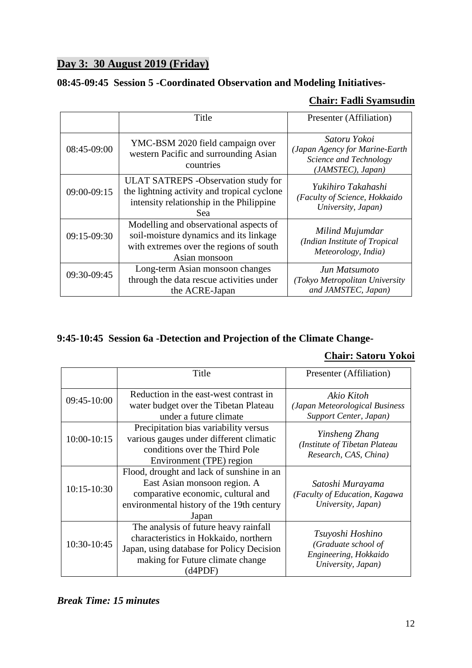# **Day 3: 30 August 2019 (Friday)**

### **08:45-09:45 Session 5 -Coordinated Observation and Modeling Initiatives-**

### **Chair: Fadli Syamsudin**

|               | Title                                                                                                                                         | Presenter (Affiliation)                                                                       |
|---------------|-----------------------------------------------------------------------------------------------------------------------------------------------|-----------------------------------------------------------------------------------------------|
| 08:45-09:00   | YMC-BSM 2020 field campaign over<br>western Pacific and surrounding Asian<br>countries                                                        | Satoru Yokoi<br>(Japan Agency for Marine-Earth<br>Science and Technology<br>(JAMSTEC), Japan) |
| 09:00-09:15   | <b>ULAT SATREPS</b> - Observation study for<br>the lightning activity and tropical cyclone<br>intensity relationship in the Philippine<br>Sea | Yukihiro Takahashi<br>(Faculty of Science, Hokkaido<br>University, Japan)                     |
| $09:15-09:30$ | Modelling and observational aspects of<br>soil-moisture dynamics and its linkage<br>with extremes over the regions of south<br>Asian monsoon  | Milind Mujumdar<br>(Indian Institute of Tropical<br>Meteorology, India)                       |
| 09:30-09:45   | Long-term Asian monsoon changes<br>through the data rescue activities under<br>the ACRE-Japan                                                 | Jun Matsumoto<br>(Tokyo Metropolitan University<br>and JAMSTEC, Japan)                        |

# **9:45-10:45 Session 6a -Detection and Projection of the Climate Change-**

### **Chair: Satoru Yokoi**

|               | Title                                                                                                                                                                      | Presenter (Affiliation)                                                                |
|---------------|----------------------------------------------------------------------------------------------------------------------------------------------------------------------------|----------------------------------------------------------------------------------------|
| 09:45-10:00   | Reduction in the east-west contrast in<br>water budget over the Tibetan Plateau<br>under a future climate                                                                  | Akio Kitoh<br>(Japan Meteorological Business<br>Support Center, Japan)                 |
| 10:00-10:15   | Precipitation bias variability versus<br>various gauges under different climatic<br>conditions over the Third Pole<br>Environment (TPE) region                             | Yinsheng Zhang<br>(Institute of Tibetan Plateau<br>Research, CAS, China)               |
| $10:15-10:30$ | Flood, drought and lack of sunshine in an<br>East Asian monsoon region. A<br>comparative economic, cultural and<br>environmental history of the 19th century<br>Japan      | Satoshi Murayama<br>(Faculty of Education, Kagawa<br>University, Japan)                |
| 10:30-10:45   | The analysis of future heavy rainfall<br>characteristics in Hokkaido, northern<br>Japan, using database for Policy Decision<br>making for Future climate change<br>(d4PDF) | Tsuyoshi Hoshino<br>(Graduate school of<br>Engineering, Hokkaido<br>University, Japan) |

### *Break Time: 15 minutes*